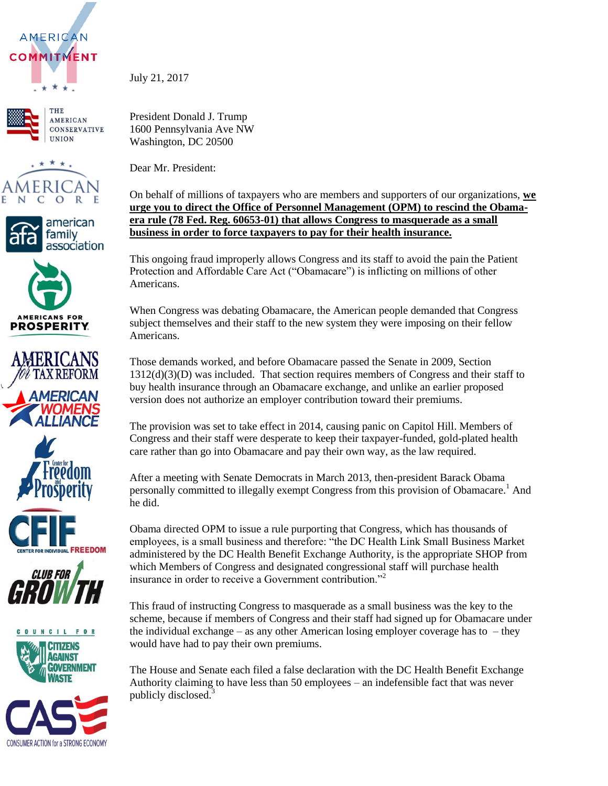





















July 21, 2017

President Donald J. Trump 1600 Pennsylvania Ave NW Washington, DC 20500

Dear Mr. President:

On behalf of millions of taxpayers who are members and supporters of our organizations, **we urge you to direct the Office of Personnel Management (OPM) to rescind the Obamaera rule (78 Fed. Reg. 60653-01) that allows Congress to masquerade as a small business in order to force taxpayers to pay for their health insurance.**

This ongoing fraud improperly allows Congress and its staff to avoid the pain the Patient Protection and Affordable Care Act ("Obamacare") is inflicting on millions of other Americans.

When Congress was debating Obamacare, the American people demanded that Congress subject themselves and their staff to the new system they were imposing on their fellow Americans.

Those demands worked, and before Obamacare passed the Senate in 2009, Section  $1312(d)(3)(D)$  was included. That section requires members of Congress and their staff to buy health insurance through an Obamacare exchange, and unlike an earlier proposed version does not authorize an employer contribution toward their premiums.

The provision was set to take effect in 2014, causing panic on Capitol Hill. Members of Congress and their staff were desperate to keep their taxpayer-funded, gold-plated health care rather than go into Obamacare and pay their own way, as the law required.

After a meeting with Senate Democrats in March 2013, then-president Barack Obama personally committed to illegally exempt Congress from this provision of Obamacare.<sup>1</sup> And he did.

Obama directed OPM to issue a rule purporting that Congress, which has thousands of employees, is a small business and therefore: "the DC Health Link Small Business Market administered by the DC Health Benefit Exchange Authority, is the appropriate SHOP from which Members of Congress and designated congressional staff will purchase health insurance in order to receive a Government contribution."<sup>2</sup>

This fraud of instructing Congress to masquerade as a small business was the key to the scheme, because if members of Congress and their staff had signed up for Obamacare under the individual exchange – as any other American losing employer coverage has to  $-$  they would have had to pay their own premiums.

The House and Senate each filed a false declaration with the DC Health Benefit Exchange Authority claiming to have less than 50 employees – an indefensible fact that was never publicly disclosed.<sup>3</sup>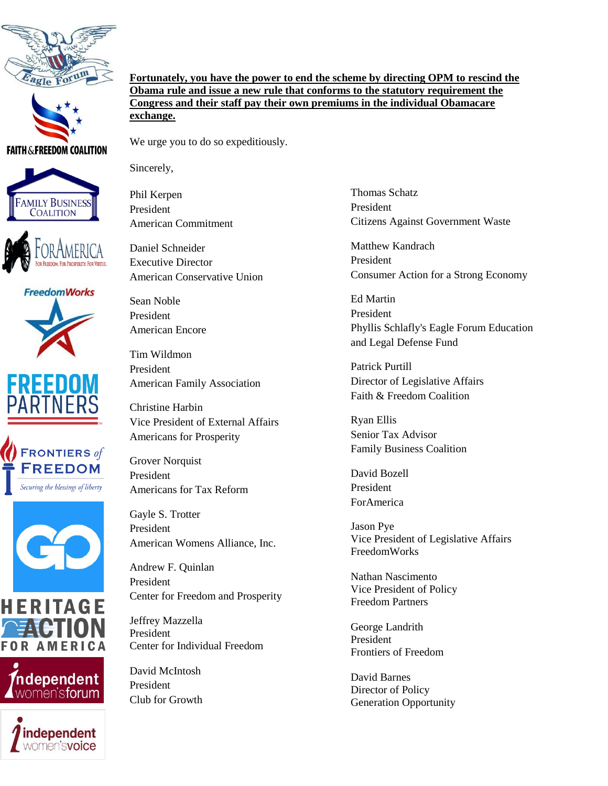



**FAITH & FREEDOM COALITION** 



















**Fortunately, you have the power to end the scheme by directing OPM to rescind the Obama rule and issue a new rule that conforms to the statutory requirement the Congress and their staff pay their own premiums in the individual Obamacare exchange.**

We urge you to do so expeditiously.

Sincerely,

Phil Kerpen President American Commitment

Daniel Schneider Executive Director American Conservative Union

Sean Noble President American Encore

Tim Wildmon President American Family Association

Christine Harbin Vice President of External Affairs Americans for Prosperity

Grover Norquist President Americans for Tax Reform

Gayle S. Trotter President American Womens Alliance, Inc.

Andrew F. Quinlan President Center for Freedom and Prosperity

Jeffrey Mazzella President Center for Individual Freedom

David McIntosh President Club for Growth Thomas Schatz President Citizens Against Government Waste

Matthew Kandrach President Consumer Action for a Strong Economy

Ed Martin President Phyllis Schlafly's Eagle Forum Education and Legal Defense Fund

Patrick Purtill Director of Legislative Affairs Faith & Freedom Coalition

Ryan Ellis Senior Tax Advisor Family Business Coalition

David Bozell President ForAmerica

Jason Pye Vice President of Legislative Affairs FreedomWorks

Nathan Nascimento Vice President of Policy Freedom Partners

George Landrith President Frontiers of Freedom

David Barnes Director of Policy Generation Opportunity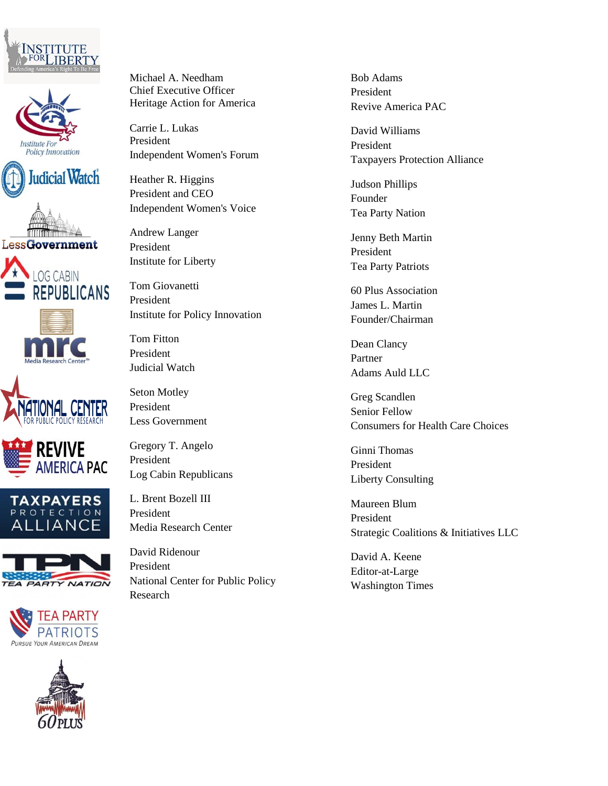





















Michael A. Needham Chief Executive Officer Heritage Action for America

Carrie L. Lukas President Independent Women's Forum

Heather R. Higgins President and CEO Independent Women's Voice

Andrew Langer President Institute for Liberty

Tom Giovanetti President Institute for Policy Innovation

Tom Fitton President Judicial Watch

Seton Motley President Less Government

Gregory T. Angelo President Log Cabin Republicans

L. Brent Bozell III President Media Research Center

David Ridenour President National Center for Public Policy Research

Bob Adams President Revive America PAC

David Williams President Taxpayers Protection Alliance

Judson Phillips Founder Tea Party Nation

Jenny Beth Martin President Tea Party Patriots

60 Plus Association James L. Martin Founder/Chairman

Dean Clancy Partner Adams Auld LLC

Greg Scandlen Senior Fellow Consumers for Health Care Choices

Ginni Thomas President Liberty Consulting

Maureen Blum President Strategic Coalitions & Initiatives LLC

David A. Keene Editor-at-Large Washington Times